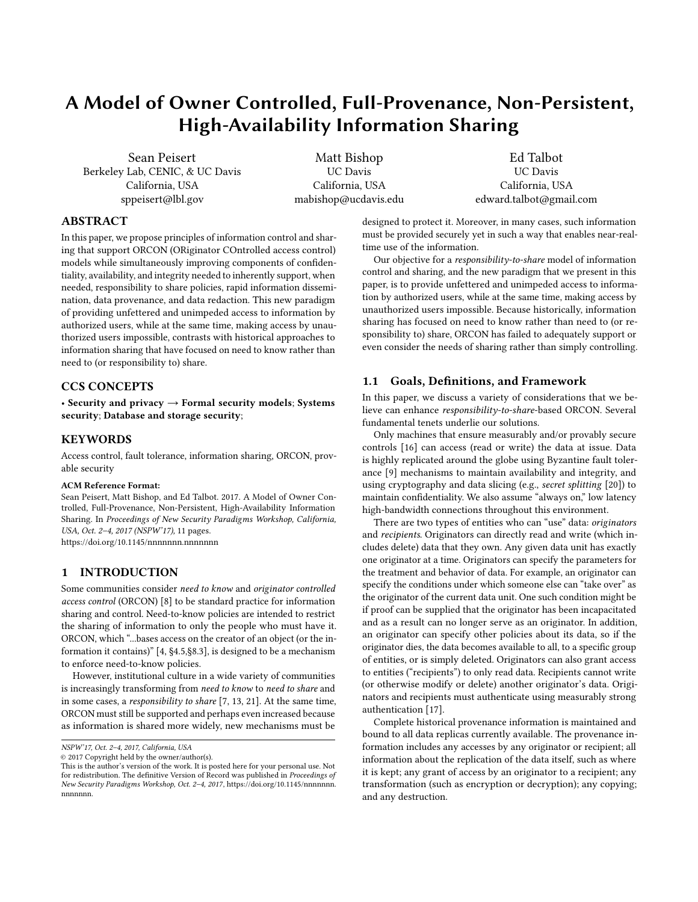# A Model of Owner Controlled, Full-Provenance, Non-Persistent, High-Availability Information Sharing

Sean Peisert Berkeley Lab, CENIC, & UC Davis California, USA sppeisert@lbl.gov

Matt Bishop UC Davis California, USA mabishop@ucdavis.edu

Ed Talbot UC Davis California, USA edward.talbot@gmail.com

# ABSTRACT

In this paper, we propose principles of information control and sharing that support ORCON (ORiginator COntrolled access control) models while simultaneously improving components of confidentiality, availability, and integrity needed to inherently support, when needed, responsibility to share policies, rapid information dissemination, data provenance, and data redaction. This new paradigm of providing unfettered and unimpeded access to information by authorized users, while at the same time, making access by unauthorized users impossible, contrasts with historical approaches to information sharing that have focused on need to know rather than need to (or responsibility to) share.

#### CCS CONCEPTS

• Security and privacy  $\rightarrow$  Formal security models; Systems security; Database and storage security;

### **KEYWORDS**

Access control, fault tolerance, information sharing, ORCON, provable security

#### ACM Reference Format:

Sean Peisert, Matt Bishop, and Ed Talbot. 2017. A Model of Owner Controlled, Full-Provenance, Non-Persistent, High-Availability Information Sharing. In Proceedings of New Security Paradigms Workshop, California, USA, Oct. 2–4, 2017 (NSPW'17), [11](#page-10-0) pages. <https://doi.org/10.1145/nnnnnnn.nnnnnnn>

# 1 INTRODUCTION

Some communities consider need to know and originator controlled access control (ORCON) [\[8\]](#page-9-0) to be standard practice for information sharing and control. Need-to-know policies are intended to restrict the sharing of information to only the people who must have it. ORCON, which "...bases access on the creator of an object (or the information it contains)" [\[4,](#page-9-1) §4.5,§8.3], is designed to be a mechanism to enforce need-to-know policies.

However, institutional culture in a wide variety of communities is increasingly transforming from need to know to need to share and in some cases, a responsibility to share [\[7,](#page-9-2) [13,](#page-9-3) [21\]](#page-9-4). At the same time, ORCON must still be supported and perhaps even increased because as information is shared more widely, new mechanisms must be

© 2017 Copyright held by the owner/author(s).

designed to protect it. Moreover, in many cases, such information must be provided securely yet in such a way that enables near-realtime use of the information.

Our objective for a responsibility-to-share model of information control and sharing, and the new paradigm that we present in this paper, is to provide unfettered and unimpeded access to information by authorized users, while at the same time, making access by unauthorized users impossible. Because historically, information sharing has focused on need to know rather than need to (or responsibility to) share, ORCON has failed to adequately support or even consider the needs of sharing rather than simply controlling.

#### 1.1 Goals, Definitions, and Framework

In this paper, we discuss a variety of considerations that we believe can enhance responsibility-to-share-based ORCON. Several fundamental tenets underlie our solutions.

Only machines that ensure measurably and/or provably secure controls [\[16\]](#page-9-5) can access (read or write) the data at issue. Data is highly replicated around the globe using Byzantine fault tolerance [\[9\]](#page-9-6) mechanisms to maintain availability and integrity, and using cryptography and data slicing (e.g., secret splitting [\[20\]](#page-9-7)) to maintain confidentiality. We also assume "always on," low latency high-bandwidth connections throughout this environment.

There are two types of entities who can "use" data: *originators* and recipients. Originators can directly read and write (which includes delete) data that they own. Any given data unit has exactly one originator at a time. Originators can specify the parameters for the treatment and behavior of data. For example, an originator can specify the conditions under which someone else can "take over" as the originator of the current data unit. One such condition might be if proof can be supplied that the originator has been incapacitated and as a result can no longer serve as an originator. In addition, an originator can specify other policies about its data, so if the originator dies, the data becomes available to all, to a specific group of entities, or is simply deleted. Originators can also grant access to entities ("recipients") to only read data. Recipients cannot write (or otherwise modify or delete) another originator's data. Originators and recipients must authenticate using measurably strong authentication [\[17\]](#page-9-8).

Complete historical provenance information is maintained and bound to all data replicas currently available. The provenance information includes any accesses by any originator or recipient; all information about the replication of the data itself, such as where it is kept; any grant of access by an originator to a recipient; any transformation (such as encryption or decryption); any copying; and any destruction.

NSPW'17, Oct. 2–4, 2017, California, USA

This is the author's version of the work. It is posted here for your personal use. Not for redistribution. The definitive Version of Record was published in Proceedings of New Security Paradigms Workshop, Oct. 2–4, 2017, [https://doi.org/10.1145/nnnnnnn.](https://doi.org/10.1145/nnnnnnn.nnnnnnn) [nnnnnnn.](https://doi.org/10.1145/nnnnnnn.nnnnnnn)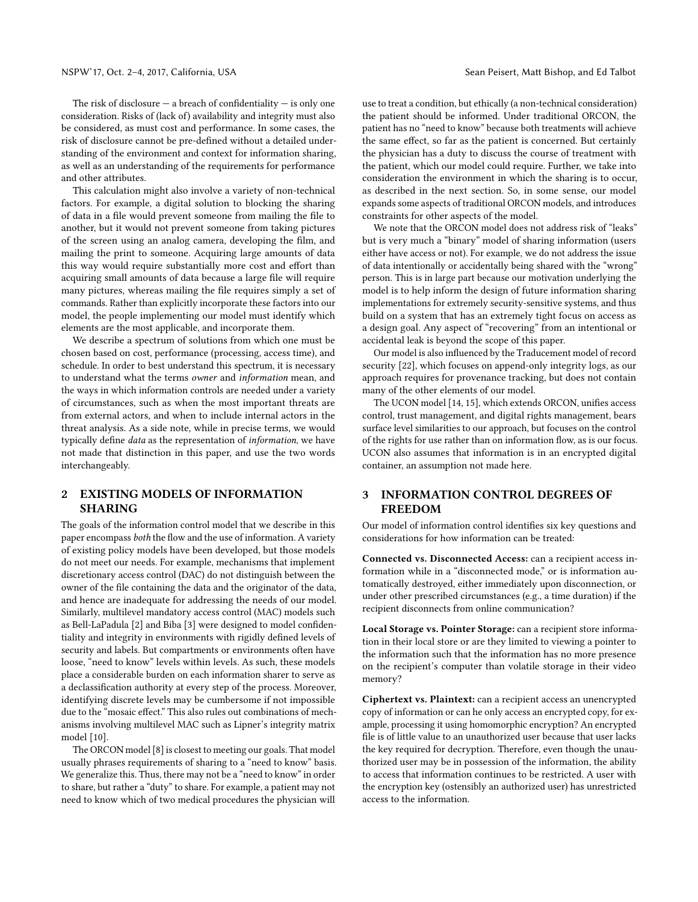The risk of disclosure  $-$  a breach of confidentiality  $-$  is only one consideration. Risks of (lack of) availability and integrity must also be considered, as must cost and performance. In some cases, the risk of disclosure cannot be pre-defined without a detailed understanding of the environment and context for information sharing, as well as an understanding of the requirements for performance and other attributes.

This calculation might also involve a variety of non-technical factors. For example, a digital solution to blocking the sharing of data in a file would prevent someone from mailing the file to another, but it would not prevent someone from taking pictures of the screen using an analog camera, developing the film, and mailing the print to someone. Acquiring large amounts of data this way would require substantially more cost and effort than acquiring small amounts of data because a large file will require many pictures, whereas mailing the file requires simply a set of commands. Rather than explicitly incorporate these factors into our model, the people implementing our model must identify which elements are the most applicable, and incorporate them.

We describe a spectrum of solutions from which one must be chosen based on cost, performance (processing, access time), and schedule. In order to best understand this spectrum, it is necessary to understand what the terms owner and information mean, and the ways in which information controls are needed under a variety of circumstances, such as when the most important threats are from external actors, and when to include internal actors in the threat analysis. As a side note, while in precise terms, we would typically define data as the representation of information, we have not made that distinction in this paper, and use the two words interchangeably.

# 2 EXISTING MODELS OF INFORMATION SHARING

The goals of the information control model that we describe in this paper encompass both the flow and the use of information. A variety of existing policy models have been developed, but those models do not meet our needs. For example, mechanisms that implement discretionary access control (DAC) do not distinguish between the owner of the file containing the data and the originator of the data, and hence are inadequate for addressing the needs of our model. Similarly, multilevel mandatory access control (MAC) models such as Bell-LaPadula [\[2\]](#page-9-9) and Biba [\[3\]](#page-9-10) were designed to model confidentiality and integrity in environments with rigidly defined levels of security and labels. But compartments or environments often have loose, "need to know" levels within levels. As such, these models place a considerable burden on each information sharer to serve as a declassification authority at every step of the process. Moreover, identifying discrete levels may be cumbersome if not impossible due to the "mosaic effect." This also rules out combinations of mechanisms involving multilevel MAC such as Lipner's integrity matrix model [\[10\]](#page-9-11).

The ORCON model [\[8\]](#page-9-0) is closest to meeting our goals. That model usually phrases requirements of sharing to a "need to know" basis. We generalize this. Thus, there may not be a "need to know" in order to share, but rather a "duty" to share. For example, a patient may not need to know which of two medical procedures the physician will

use to treat a condition, but ethically (a non-technical consideration) the patient should be informed. Under traditional ORCON, the patient has no "need to know" because both treatments will achieve the same effect, so far as the patient is concerned. But certainly the physician has a duty to discuss the course of treatment with the patient, which our model could require. Further, we take into consideration the environment in which the sharing is to occur, as described in the next section. So, in some sense, our model expands some aspects of traditional ORCON models, and introduces constraints for other aspects of the model.

We note that the ORCON model does not address risk of "leaks" but is very much a "binary" model of sharing information (users either have access or not). For example, we do not address the issue of data intentionally or accidentally being shared with the "wrong" person. This is in large part because our motivation underlying the model is to help inform the design of future information sharing implementations for extremely security-sensitive systems, and thus build on a system that has an extremely tight focus on access as a design goal. Any aspect of "recovering" from an intentional or accidental leak is beyond the scope of this paper.

Our model is also influenced by the Traducement model of record security [\[22\]](#page-9-12), which focuses on append-only integrity logs, as our approach requires for provenance tracking, but does not contain many of the other elements of our model.

The UCON model [\[14,](#page-9-13) [15\]](#page-9-14), which extends ORCON, unifies access control, trust management, and digital rights management, bears surface level similarities to our approach, but focuses on the control of the rights for use rather than on information flow, as is our focus. UCON also assumes that information is in an encrypted digital container, an assumption not made here.

# 3 INFORMATION CONTROL DEGREES OF FREEDOM

Our model of information control identifies six key questions and considerations for how information can be treated:

Connected vs. Disconnected Access: can a recipient access information while in a "disconnected mode," or is information automatically destroyed, either immediately upon disconnection, or under other prescribed circumstances (e.g., a time duration) if the recipient disconnects from online communication?

Local Storage vs. Pointer Storage: can a recipient store information in their local store or are they limited to viewing a pointer to the information such that the information has no more presence on the recipient's computer than volatile storage in their video memory?

Ciphertext vs. Plaintext: can a recipient access an unencrypted copy of information or can he only access an encrypted copy, for example, processing it using homomorphic encryption? An encrypted file is of little value to an unauthorized user because that user lacks the key required for decryption. Therefore, even though the unauthorized user may be in possession of the information, the ability to access that information continues to be restricted. A user with the encryption key (ostensibly an authorized user) has unrestricted access to the information.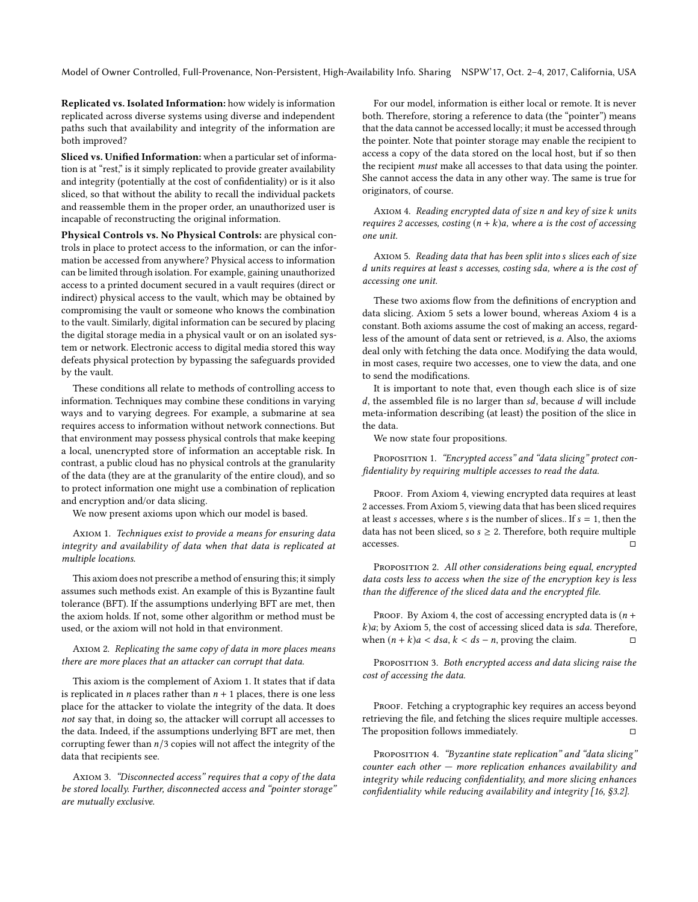Model of Owner Controlled, Full-Provenance, Non-Persistent, High-Availability Info. Sharing NSPW'17, Oct. 2–4, 2017, California, USA

Replicated vs. Isolated Information: how widely is information replicated across diverse systems using diverse and independent paths such that availability and integrity of the information are both improved?

Sliced vs. Unified Information: when a particular set of information is at "rest," is it simply replicated to provide greater availability and integrity (potentially at the cost of confidentiality) or is it also sliced, so that without the ability to recall the individual packets and reassemble them in the proper order, an unauthorized user is incapable of reconstructing the original information.

Physical Controls vs. No Physical Controls: are physical controls in place to protect access to the information, or can the information be accessed from anywhere? Physical access to information can be limited through isolation. For example, gaining unauthorized access to a printed document secured in a vault requires (direct or indirect) physical access to the vault, which may be obtained by compromising the vault or someone who knows the combination to the vault. Similarly, digital information can be secured by placing the digital storage media in a physical vault or on an isolated system or network. Electronic access to digital media stored this way defeats physical protection by bypassing the safeguards provided by the vault.

These conditions all relate to methods of controlling access to information. Techniques may combine these conditions in varying ways and to varying degrees. For example, a submarine at sea requires access to information without network connections. But that environment may possess physical controls that make keeping a local, unencrypted store of information an acceptable risk. In contrast, a public cloud has no physical controls at the granularity of the data (they are at the granularity of the entire cloud), and so to protect information one might use a combination of replication and encryption and/or data slicing.

We now present axioms upon which our model is based.

<span id="page-2-0"></span>Axiom 1. Techniques exist to provide a means for ensuring data integrity and availability of data when that data is replicated at multiple locations.

This axiom does not prescribe a method of ensuring this; it simply assumes such methods exist. An example of this is Byzantine fault tolerance (BFT). If the assumptions underlying BFT are met, then the axiom holds. If not, some other algorithm or method must be used, or the axiom will not hold in that environment.

#### <span id="page-2-3"></span>Axiom 2. Replicating the same copy of data in more places means there are more places that an attacker can corrupt that data.

This axiom is the complement of Axiom [1.](#page-2-0) It states that if data is replicated in *n* places rather than  $n + 1$  places, there is one less place for the attacker to violate the integrity of the data. It does not say that, in doing so, the attacker will corrupt all accesses to the data. Indeed, if the assumptions underlying BFT are met, then corrupting fewer than  $n/3$  copies will not affect the integrity of the data that recipients see.

Axiom 3. "Disconnected access" requires that a copy of the data be stored locally. Further, disconnected access and "pointer storage" are mutually exclusive.

For our model, information is either local or remote. It is never both. Therefore, storing a reference to data (the "pointer") means that the data cannot be accessed locally; it must be accessed through the pointer. Note that pointer storage may enable the recipient to access a copy of the data stored on the local host, but if so then the recipient must make all accesses to that data using the pointer. She cannot access the data in any other way. The same is true for originators, of course.

<span id="page-2-2"></span>Axiom 4. Reading encrypted data of size n and key of size k units requires 2 accesses, costing  $(n + k)a$ , where a is the cost of accessing one unit.

<span id="page-2-1"></span>Axiom 5. Reading data that has been split into s slices each of size d units requires at least s accesses, costing sda, where a is the cost of accessing one unit.

These two axioms flow from the definitions of encryption and data slicing. Axiom [5](#page-2-1) sets a lower bound, whereas Axiom [4](#page-2-2) is a constant. Both axioms assume the cost of making an access, regardless of the amount of data sent or retrieved, is a. Also, the axioms deal only with fetching the data once. Modifying the data would, in most cases, require two accesses, one to view the data, and one to send the modifications.

It is important to note that, even though each slice is of size  $d$ , the assembled file is no larger than  $sd$ , because  $d$  will include meta-information describing (at least) the position of the slice in the data.

We now state four propositions.

PROPOSITION 1. "Encrypted access" and "data slicing" protect confidentiality by requiring multiple accesses to read the data.

PROOF. From Axiom [4,](#page-2-2) viewing encrypted data requires at least 2 accesses. From Axiom [5,](#page-2-1) viewing data that has been sliced requires at least s accesses, where s is the number of slices.. If  $s = 1$ , then the data has not been sliced, so  $s \geq 2$ . Therefore, both require multiple  $accesses.$ 

PROPOSITION 2. All other considerations being equal, encrypted data costs less to access when the size of the encryption key is less than the difference of the sliced data and the encrypted file.

PROOF. By Axiom [4,](#page-2-2) the cost of accessing encrypted data is  $(n +$  $k$ )a; by Axiom [5,](#page-2-1) the cost of accessing sliced data is sda. Therefore, when  $(n + k)a < dsa$ ,  $k < ds - n$ , proving the claim.

PROPOSITION 3. Both encrypted access and data slicing raise the cost of accessing the data.

PROOF. Fetching a cryptographic key requires an access beyond retrieving the file, and fetching the slices require multiple accesses. The proposition follows immediately.  $□$ 

<span id="page-2-4"></span>PROPOSITION 4. "Byzantine state replication" and "data slicing" counter each other  $-$  more replication enhances availability and integrity while reducing confidentiality, and more slicing enhances confidentiality while reducing availability and integrity [\[16,](#page-9-5) §3.2].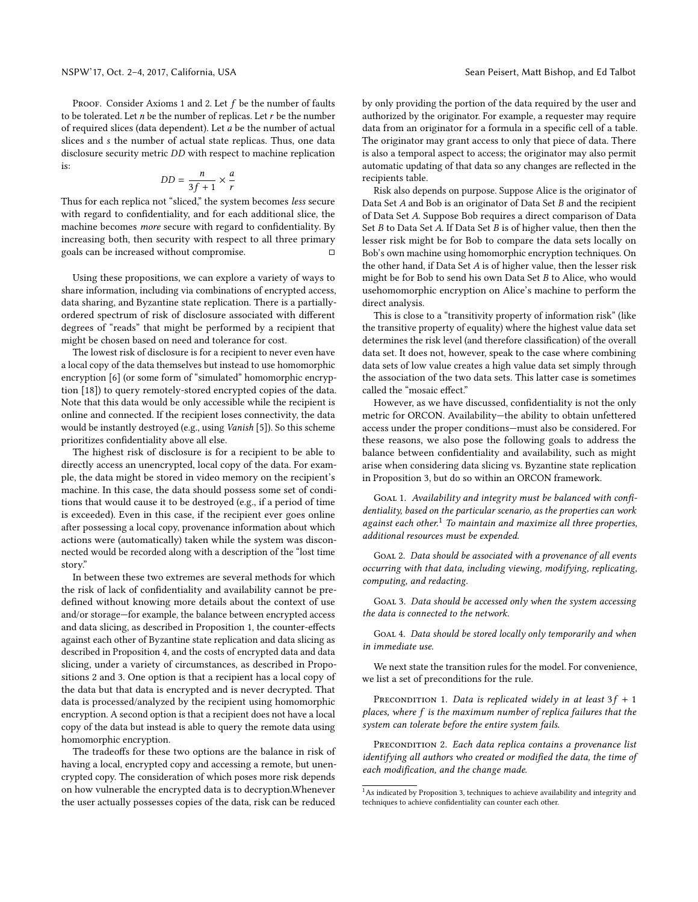PROOF. Consider Axioms [1](#page-2-0) and [2.](#page-2-3) Let  $f$  be the number of faults to be tolerated. Let  $n$  be the number of replicas. Let  $r$  be the number of required slices (data dependent). Let a be the number of actual slices and s the number of actual state replicas. Thus, one data disclosure security metric DD with respect to machine replication is:

$$
DD = \frac{n}{3f + 1} \times \frac{a}{r}
$$

Thus for each replica not "sliced," the system becomes less secure with regard to confidentiality, and for each additional slice, the machine becomes more secure with regard to confidentiality. By increasing both, then security with respect to all three primary goals can be increased without compromise. □

Using these propositions, we can explore a variety of ways to share information, including via combinations of encrypted access, data sharing, and Byzantine state replication. There is a partiallyordered spectrum of risk of disclosure associated with different degrees of "reads" that might be performed by a recipient that might be chosen based on need and tolerance for cost.

The lowest risk of disclosure is for a recipient to never even have a local copy of the data themselves but instead to use homomorphic encryption [\[6\]](#page-9-15) (or some form of "simulated" homomorphic encryption [\[18\]](#page-9-16)) to query remotely-stored encrypted copies of the data. Note that this data would be only accessible while the recipient is online and connected. If the recipient loses connectivity, the data would be instantly destroyed (e.g., using Vanish [\[5\]](#page-9-17)). So this scheme prioritizes confidentiality above all else.

The highest risk of disclosure is for a recipient to be able to directly access an unencrypted, local copy of the data. For example, the data might be stored in video memory on the recipient's machine. In this case, the data should possess some set of conditions that would cause it to be destroyed (e.g., if a period of time is exceeded). Even in this case, if the recipient ever goes online after possessing a local copy, provenance information about which actions were (automatically) taken while the system was disconnected would be recorded along with a description of the "lost time story."

In between these two extremes are several methods for which the risk of lack of confidentiality and availability cannot be predefined without knowing more details about the context of use and/or storage—for example, the balance between encrypted access and data slicing, as described in Proposition 1, the counter-effects against each other of Byzantine state replication and data slicing as described in Proposition 4, and the costs of encrypted data and data slicing, under a variety of circumstances, as described in Propositions 2 and 3. One option is that a recipient has a local copy of the data but that data is encrypted and is never decrypted. That data is processed/analyzed by the recipient using homomorphic encryption. A second option is that a recipient does not have a local copy of the data but instead is able to query the remote data using homomorphic encryption.

The tradeoffs for these two options are the balance in risk of having a local, encrypted copy and accessing a remote, but unencrypted copy. The consideration of which poses more risk depends on how vulnerable the encrypted data is to decryption.Whenever the user actually possesses copies of the data, risk can be reduced

by only providing the portion of the data required by the user and authorized by the originator. For example, a requester may require data from an originator for a formula in a specific cell of a table. The originator may grant access to only that piece of data. There is also a temporal aspect to access; the originator may also permit automatic updating of that data so any changes are reflected in the recipients table.

Risk also depends on purpose. Suppose Alice is the originator of Data Set A and Bob is an originator of Data Set B and the recipient of Data Set A. Suppose Bob requires a direct comparison of Data Set  $B$  to Data Set  $A$ . If Data Set  $B$  is of higher value, then then the lesser risk might be for Bob to compare the data sets locally on Bob's own machine using homomorphic encryption techniques. On the other hand, if Data Set A is of higher value, then the lesser risk might be for Bob to send his own Data Set B to Alice, who would usehomomorphic encryption on Alice's machine to perform the direct analysis.

This is close to a "transitivity property of information risk" (like the transitive property of equality) where the highest value data set determines the risk level (and therefore classification) of the overall data set. It does not, however, speak to the case where combining data sets of low value creates a high value data set simply through the association of the two data sets. This latter case is sometimes called the "mosaic effect."

However, as we have discussed, confidentiality is not the only metric for ORCON. Availability—the ability to obtain unfettered access under the proper conditions—must also be considered. For these reasons, we also pose the following goals to address the balance between confidentiality and availability, such as might arise when considering data slicing vs. Byzantine state replication in Proposition 3, but do so within an ORCON framework.

GOAL 1. Availability and integrity must be balanced with confidentiality, based on the particular scenario, as the properties can work against each other.<sup>[1](#page-3-0)</sup> To maintain and maximize all three properties, additional resources must be expended.

GOAL 2. Data should be associated with a provenance of all events occurring with that data, including viewing, modifying, replicating, computing, and redacting.

GOAL 3. Data should be accessed only when the system accessing the data is connected to the network.

GOAL 4. Data should be stored locally only temporarily and when in immediate use.

We next state the transition rules for the model. For convenience, we list a set of preconditions for the rule.

PRECONDITION 1. Data is replicated widely in at least  $3f + 1$ places, where f is the maximum number of replica failures that the system can tolerate before the entire system fails.

PRECONDITION 2. Each data replica contains a provenance list identifying all authors who created or modified the data, the time of each modification, and the change made.

<span id="page-3-0"></span><sup>&</sup>lt;sup>1</sup>As indicated by Proposition [3,](#page-2-4) techniques to achieve availability and integrity and techniques to achieve confidentiality can counter each other.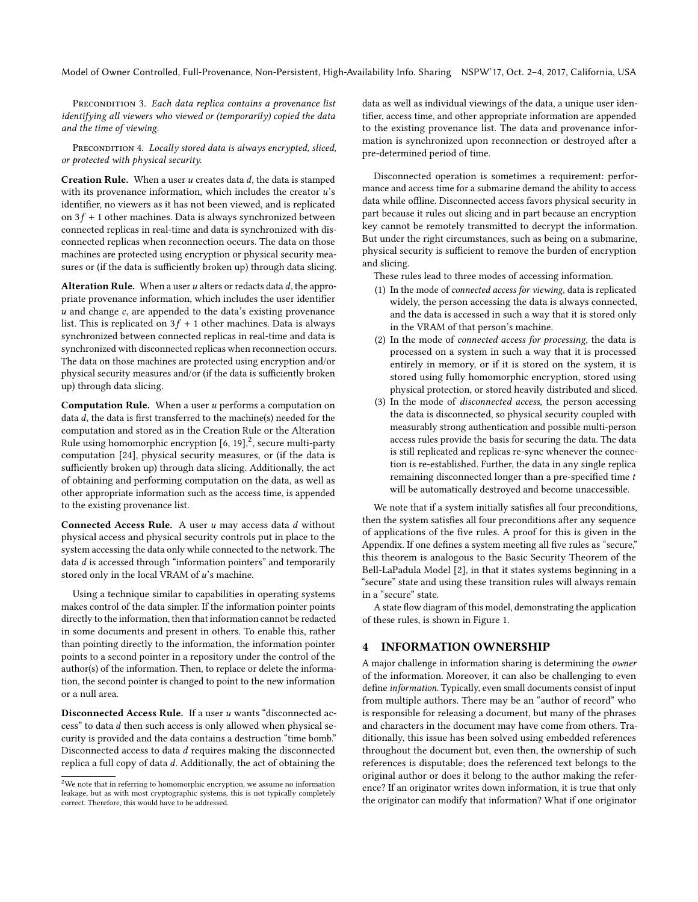PRECONDITION 3. Each data replica contains a provenance list identifying all viewers who viewed or (temporarily) copied the data and the time of viewing.

PRECONDITION 4. Locally stored data is always encrypted, sliced, or protected with physical security.

**Creation Rule.** When a user  $u$  creates data  $d$ , the data is stamped with its provenance information, which includes the creator u's identifier, no viewers as it has not been viewed, and is replicated on  $3f + 1$  other machines. Data is always synchronized between connected replicas in real-time and data is synchronized with disconnected replicas when reconnection occurs. The data on those machines are protected using encryption or physical security measures or (if the data is sufficiently broken up) through data slicing.

Alteration Rule. When a user  $u$  alters or redacts data  $d$ , the appropriate provenance information, which includes the user identifier  $u$  and change  $c$ , are appended to the data's existing provenance list. This is replicated on  $3f + 1$  other machines. Data is always synchronized between connected replicas in real-time and data is synchronized with disconnected replicas when reconnection occurs. The data on those machines are protected using encryption and/or physical security measures and/or (if the data is sufficiently broken up) through data slicing.

**Computation Rule.** When a user  $u$  performs a computation on data d, the data is first transferred to the machine(s) needed for the computation and stored as in the Creation Rule or the Alteration Rule using homomorphic encryption  $[6, 19],^2$  $[6, 19],^2$  $[6, 19],^2$  $[6, 19],^2$  $[6, 19],^2$ , secure multi-party computation [\[24\]](#page-9-19), physical security measures, or (if the data is sufficiently broken up) through data slicing. Additionally, the act of obtaining and performing computation on the data, as well as other appropriate information such as the access time, is appended to the existing provenance list.

Connected Access Rule. A user u may access data d without physical access and physical security controls put in place to the system accessing the data only while connected to the network. The data d is accessed through "information pointers" and temporarily stored only in the local VRAM of  $u$ 's machine.

Using a technique similar to capabilities in operating systems makes control of the data simpler. If the information pointer points directly to the information, then that information cannot be redacted in some documents and present in others. To enable this, rather than pointing directly to the information, the information pointer points to a second pointer in a repository under the control of the author(s) of the information. Then, to replace or delete the information, the second pointer is changed to point to the new information or a null area.

Disconnected Access Rule. If a user u wants "disconnected access" to data d then such access is only allowed when physical security is provided and the data contains a destruction "time bomb." Disconnected access to data d requires making the disconnected replica a full copy of data d. Additionally, the act of obtaining the

data as well as individual viewings of the data, a unique user identifier, access time, and other appropriate information are appended to the existing provenance list. The data and provenance information is synchronized upon reconnection or destroyed after a pre-determined period of time.

Disconnected operation is sometimes a requirement: performance and access time for a submarine demand the ability to access data while offline. Disconnected access favors physical security in part because it rules out slicing and in part because an encryption key cannot be remotely transmitted to decrypt the information. But under the right circumstances, such as being on a submarine, physical security is sufficient to remove the burden of encryption and slicing.

These rules lead to three modes of accessing information.

- (1) In the mode of connected access for viewing, data is replicated widely, the person accessing the data is always connected, and the data is accessed in such a way that it is stored only in the VRAM of that person's machine.
- (2) In the mode of connected access for processing, the data is processed on a system in such a way that it is processed entirely in memory, or if it is stored on the system, it is stored using fully homomorphic encryption, stored using physical protection, or stored heavily distributed and sliced.
- (3) In the mode of disconnected access, the person accessing the data is disconnected, so physical security coupled with measurably strong authentication and possible multi-person access rules provide the basis for securing the data. The data is still replicated and replicas re-sync whenever the connection is re-established. Further, the data in any single replica remaining disconnected longer than a pre-specified time  $t$ will be automatically destroyed and become unaccessible.

We note that if a system initially satisfies all four preconditions, then the system satisfies all four preconditions after any sequence of applications of the five rules. A proof for this is given in the Appendix. If one defines a system meeting all five rules as "secure," this theorem is analogous to the Basic Security Theorem of the Bell-LaPadula Model [\[2\]](#page-9-9), in that it states systems beginning in a "secure" state and using these transition rules will always remain in a "secure" state.

A state flow diagram of this model, demonstrating the application of these rules, is shown in Figure [1.](#page-5-0)

# 4 INFORMATION OWNERSHIP

A major challenge in information sharing is determining the owner of the information. Moreover, it can also be challenging to even define information. Typically, even small documents consist of input from multiple authors. There may be an "author of record" who is responsible for releasing a document, but many of the phrases and characters in the document may have come from others. Traditionally, this issue has been solved using embedded references throughout the document but, even then, the ownership of such references is disputable; does the referenced text belongs to the original author or does it belong to the author making the reference? If an originator writes down information, it is true that only the originator can modify that information? What if one originator

<span id="page-4-0"></span> $^2\!$  We note that in referring to homomorphic encryption, we assume no information leakage, but as with most cryptographic systems, this is not typically completely correct. Therefore, this would have to be addressed.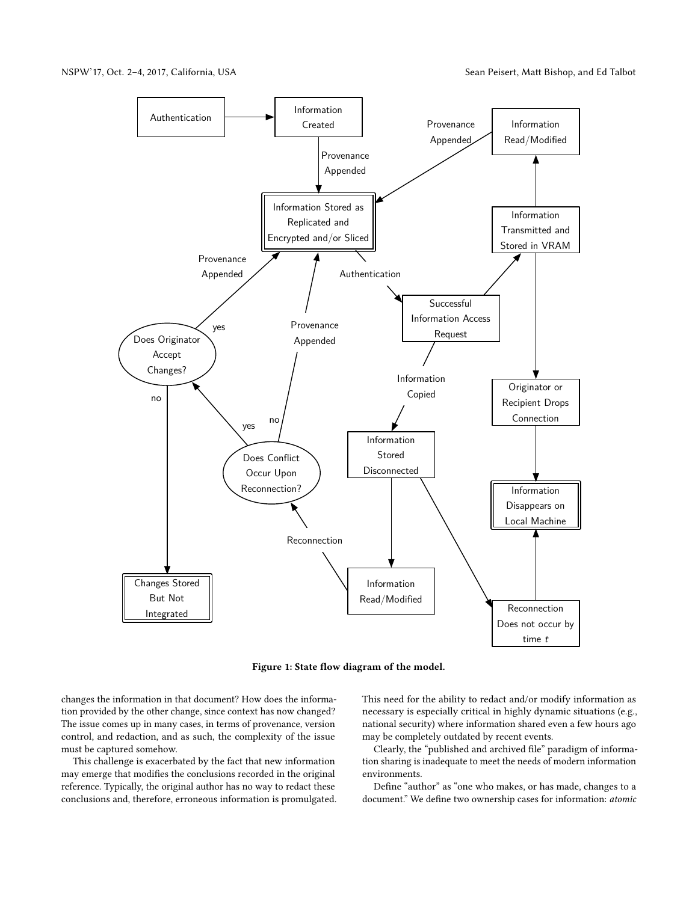<span id="page-5-0"></span>NSPW'17, Oct. 2-4, 2017, California, USA Sean Peisert, Matt Bishop, and Ed Talbot



Figure 1: State flow diagram of the model.

changes the information in that document? How does the information provided by the other change, since context has now changed? The issue comes up in many cases, in terms of provenance, version control, and redaction, and as such, the complexity of the issue must be captured somehow.

This challenge is exacerbated by the fact that new information may emerge that modifies the conclusions recorded in the original reference. Typically, the original author has no way to redact these conclusions and, therefore, erroneous information is promulgated. This need for the ability to redact and/or modify information as necessary is especially critical in highly dynamic situations (e.g., national security) where information shared even a few hours ago may be completely outdated by recent events.

Clearly, the "published and archived file" paradigm of information sharing is inadequate to meet the needs of modern information environments.

Define "author" as "one who makes, or has made, changes to a document." We define two ownership cases for information: atomic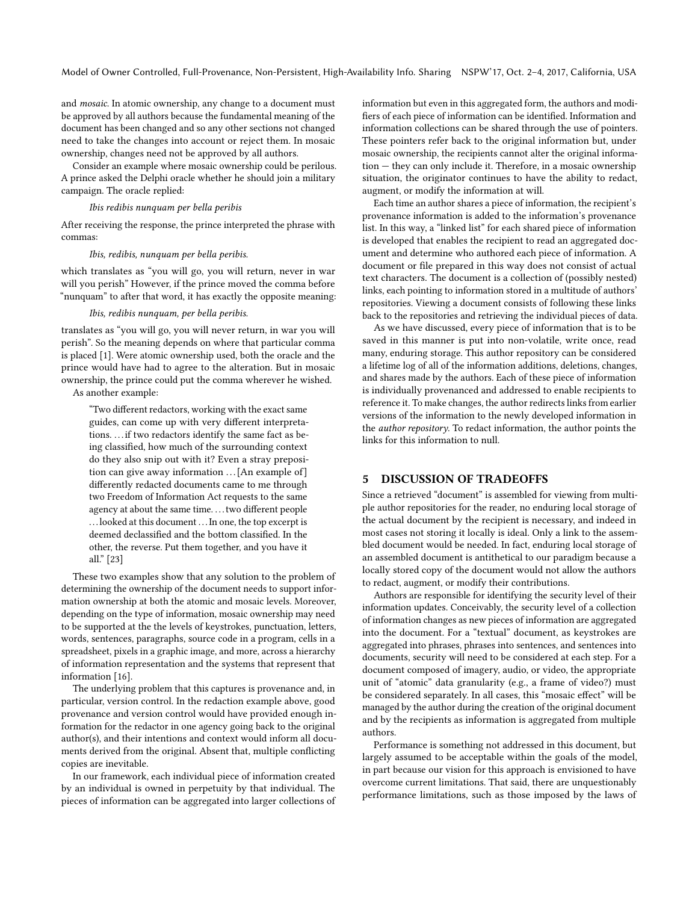and mosaic. In atomic ownership, any change to a document must be approved by all authors because the fundamental meaning of the document has been changed and so any other sections not changed need to take the changes into account or reject them. In mosaic ownership, changes need not be approved by all authors.

Consider an example where mosaic ownership could be perilous. A prince asked the Delphi oracle whether he should join a military campaign. The oracle replied:

#### Ibis redibis nunquam per bella peribis

After receiving the response, the prince interpreted the phrase with commas:

#### Ibis, redibis, nunquam per bella peribis.

which translates as "you will go, you will return, never in war will you perish" However, if the prince moved the comma before "nunquam" to after that word, it has exactly the opposite meaning:

#### Ibis, redibis nunquam, per bella peribis.

translates as "you will go, you will never return, in war you will perish". So the meaning depends on where that particular comma is placed [\[1\]](#page-9-20). Were atomic ownership used, both the oracle and the prince would have had to agree to the alteration. But in mosaic ownership, the prince could put the comma wherever he wished. As another example:

"Two different redactors, working with the exact same guides, can come up with very different interpretations. . . .if two redactors identify the same fact as being classified, how much of the surrounding context do they also snip out with it? Even a stray preposition can give away information  $\dots$  [An example of] differently redacted documents came to me through two Freedom of Information Act requests to the same agency at about the same time. . . . two different people . . .looked at this document . . .In one, the top excerpt is deemed declassified and the bottom classified. In the other, the reverse. Put them together, and you have it all." [\[23\]](#page-9-21)

These two examples show that any solution to the problem of determining the ownership of the document needs to support information ownership at both the atomic and mosaic levels. Moreover, depending on the type of information, mosaic ownership may need to be supported at the the levels of keystrokes, punctuation, letters, words, sentences, paragraphs, source code in a program, cells in a spreadsheet, pixels in a graphic image, and more, across a hierarchy of information representation and the systems that represent that information [\[16\]](#page-9-5).

The underlying problem that this captures is provenance and, in particular, version control. In the redaction example above, good provenance and version control would have provided enough information for the redactor in one agency going back to the original author(s), and their intentions and context would inform all documents derived from the original. Absent that, multiple conflicting copies are inevitable.

In our framework, each individual piece of information created by an individual is owned in perpetuity by that individual. The pieces of information can be aggregated into larger collections of information but even in this aggregated form, the authors and modifiers of each piece of information can be identified. Information and information collections can be shared through the use of pointers. These pointers refer back to the original information but, under mosaic ownership, the recipients cannot alter the original information — they can only include it. Therefore, in a mosaic ownership situation, the originator continues to have the ability to redact, augment, or modify the information at will.

Each time an author shares a piece of information, the recipient's provenance information is added to the information's provenance list. In this way, a "linked list" for each shared piece of information is developed that enables the recipient to read an aggregated document and determine who authored each piece of information. A document or file prepared in this way does not consist of actual text characters. The document is a collection of (possibly nested) links, each pointing to information stored in a multitude of authors' repositories. Viewing a document consists of following these links back to the repositories and retrieving the individual pieces of data.

As we have discussed, every piece of information that is to be saved in this manner is put into non-volatile, write once, read many, enduring storage. This author repository can be considered a lifetime log of all of the information additions, deletions, changes, and shares made by the authors. Each of these piece of information is individually provenanced and addressed to enable recipients to reference it. To make changes, the author redirects links from earlier versions of the information to the newly developed information in the author repository. To redact information, the author points the links for this information to null.

# 5 DISCUSSION OF TRADEOFFS

Since a retrieved "document" is assembled for viewing from multiple author repositories for the reader, no enduring local storage of the actual document by the recipient is necessary, and indeed in most cases not storing it locally is ideal. Only a link to the assembled document would be needed. In fact, enduring local storage of an assembled document is antithetical to our paradigm because a locally stored copy of the document would not allow the authors to redact, augment, or modify their contributions.

Authors are responsible for identifying the security level of their information updates. Conceivably, the security level of a collection of information changes as new pieces of information are aggregated into the document. For a "textual" document, as keystrokes are aggregated into phrases, phrases into sentences, and sentences into documents, security will need to be considered at each step. For a document composed of imagery, audio, or video, the appropriate unit of "atomic" data granularity (e.g., a frame of video?) must be considered separately. In all cases, this "mosaic effect" will be managed by the author during the creation of the original document and by the recipients as information is aggregated from multiple authors.

Performance is something not addressed in this document, but largely assumed to be acceptable within the goals of the model, in part because our vision for this approach is envisioned to have overcome current limitations. That said, there are unquestionably performance limitations, such as those imposed by the laws of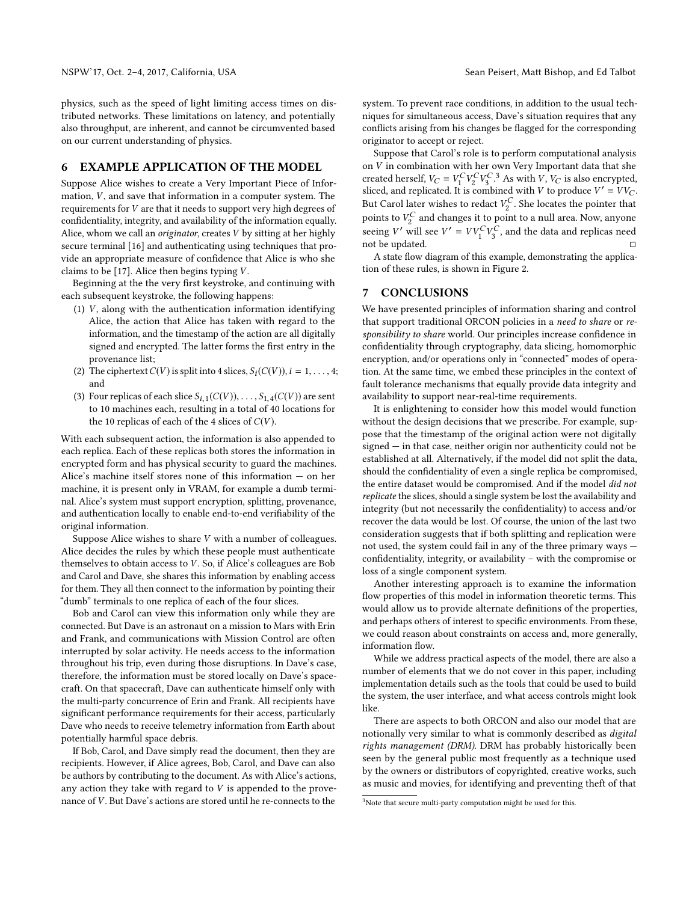physics, such as the speed of light limiting access times on distributed networks. These limitations on latency, and potentially also throughput, are inherent, and cannot be circumvented based on our current understanding of physics.

## 6 EXAMPLE APPLICATION OF THE MODEL

Suppose Alice wishes to create a Very Important Piece of Information,  $V$ , and save that information in a computer system. The requirements for V are that it needs to support very high degrees of confidentiality, integrity, and availability of the information equally. Alice, whom we call an originator, creates V by sitting at her highly secure terminal [\[16\]](#page-9-5) and authenticating using techniques that provide an appropriate measure of confidence that Alice is who she claims to be [\[17\]](#page-9-8). Alice then begins typing  $V$ .

Beginning at the the very first keystroke, and continuing with each subsequent keystroke, the following happens:

- (1)  $V$ , along with the authentication information identifying Alice, the action that Alice has taken with regard to the information, and the timestamp of the action are all digitally signed and encrypted. The latter forms the first entry in the provenance list;
- (2) The ciphertext  $C(V)$  is split into 4 slices,  $S_i(C(V))$ ,  $i = 1, \ldots, 4$ ; and
- (3) Four replicas of each slice  $S_{i,1}(C(V)), \ldots, S_{1,4}(C(V))$  are sent to 10 machines each, resulting in a total of 40 locations for the 10 replicas of each of the 4 slices of  $C(V)$ .

With each subsequent action, the information is also appended to each replica. Each of these replicas both stores the information in encrypted form and has physical security to guard the machines. Alice's machine itself stores none of this information — on her machine, it is present only in VRAM, for example a dumb terminal. Alice's system must support encryption, splitting, provenance, and authentication locally to enable end-to-end verifiability of the original information.

Suppose Alice wishes to share V with a number of colleagues. Alice decides the rules by which these people must authenticate themselves to obtain access to V . So, if Alice's colleagues are Bob and Carol and Dave, she shares this information by enabling access for them. They all then connect to the information by pointing their "dumb" terminals to one replica of each of the four slices.

Bob and Carol can view this information only while they are connected. But Dave is an astronaut on a mission to Mars with Erin and Frank, and communications with Mission Control are often interrupted by solar activity. He needs access to the information throughout his trip, even during those disruptions. In Dave's case, therefore, the information must be stored locally on Dave's spacecraft. On that spacecraft, Dave can authenticate himself only with the multi-party concurrence of Erin and Frank. All recipients have significant performance requirements for their access, particularly Dave who needs to receive telemetry information from Earth about potentially harmful space debris.

If Bob, Carol, and Dave simply read the document, then they are recipients. However, if Alice agrees, Bob, Carol, and Dave can also be authors by contributing to the document. As with Alice's actions, any action they take with regard to  $V$  is appended to the provenance ofV . But Dave's actions are stored until he re-connects to the

system. To prevent race conditions, in addition to the usual techniques for simultaneous access, Dave's situation requires that any conflicts arising from his changes be flagged for the corresponding originator to accept or reject.

Suppose that Carol's role is to perform computational analysis on V in combination with her own Very Important data that she created herself,  $V_C = V_1^C V_2^C V_3^C$  $V_C = V_1^C V_2^C V_3^C$  $V_C = V_1^C V_2^C V_3^C$ .<sup>3</sup> As with *V*,  $V_C$  is also encrypted, sliced, and replicated. It is combined with V to produce  $V' = VV_C$ . But Carol later wishes to redact  $V_2^C$ . She locates the pointer that points to  $V_2^C$  and changes it to point to a null area. Now, anyone seeing  $V'$  will see  $V' = V V_1^C V_3^C$ , and the data and replicas need not be updated.  $\Box$ 

A state flow diagram of this example, demonstrating the application of these rules, is shown in Figure [2.](#page-8-0)

### 7 CONCLUSIONS

We have presented principles of information sharing and control that support traditional ORCON policies in a need to share or responsibility to share world. Our principles increase confidence in confidentiality through cryptography, data slicing, homomorphic encryption, and/or operations only in "connected" modes of operation. At the same time, we embed these principles in the context of fault tolerance mechanisms that equally provide data integrity and availability to support near-real-time requirements.

It is enlightening to consider how this model would function without the design decisions that we prescribe. For example, suppose that the timestamp of the original action were not digitally signed — in that case, neither origin nor authenticity could not be established at all. Alternatively, if the model did not split the data, should the confidentiality of even a single replica be compromised, the entire dataset would be compromised. And if the model did not replicate the slices, should a single system be lost the availability and integrity (but not necessarily the confidentiality) to access and/or recover the data would be lost. Of course, the union of the last two consideration suggests that if both splitting and replication were not used, the system could fail in any of the three primary ways confidentiality, integrity, or availability – with the compromise or loss of a single component system.

Another interesting approach is to examine the information flow properties of this model in information theoretic terms. This would allow us to provide alternate definitions of the properties, and perhaps others of interest to specific environments. From these, we could reason about constraints on access and, more generally, information flow.

While we address practical aspects of the model, there are also a number of elements that we do not cover in this paper, including implementation details such as the tools that could be used to build the system, the user interface, and what access controls might look like.

There are aspects to both ORCON and also our model that are notionally very similar to what is commonly described as digital rights management (DRM). DRM has probably historically been seen by the general public most frequently as a technique used by the owners or distributors of copyrighted, creative works, such as music and movies, for identifying and preventing theft of that

<span id="page-7-0"></span><sup>&</sup>lt;sup>3</sup>Note that secure multi-party computation might be used for this.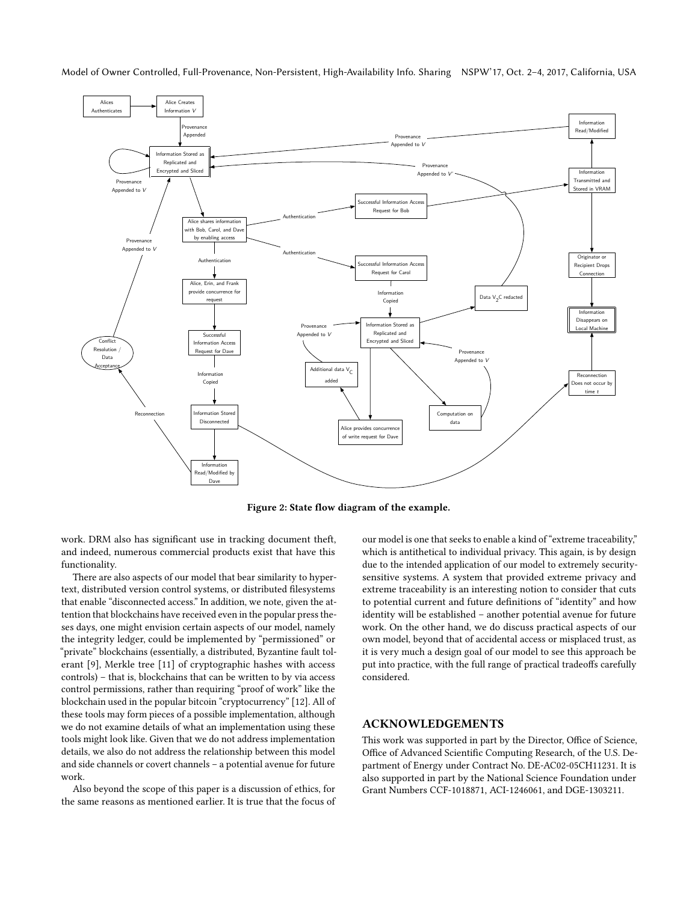Model of Owner Controlled, Full-Provenance, Non-Persistent, High-Availability Info. Sharing NSPW'17, Oct. 2–4, 2017, California, USA

<span id="page-8-0"></span>

Figure 2: State flow diagram of the example.

work. DRM also has significant use in tracking document theft, and indeed, numerous commercial products exist that have this functionality.

There are also aspects of our model that bear similarity to hypertext, distributed version control systems, or distributed filesystems that enable "disconnected access." In addition, we note, given the attention that blockchains have received even in the popular press theses days, one might envision certain aspects of our model, namely the integrity ledger, could be implemented by "permissioned" or "private" blockchains (essentially, a distributed, Byzantine fault tolerant [\[9\]](#page-9-6), Merkle tree [\[11\]](#page-9-22) of cryptographic hashes with access controls) – that is, blockchains that can be written to by via access control permissions, rather than requiring "proof of work" like the blockchain used in the popular bitcoin "cryptocurrency" [\[12\]](#page-9-23). All of these tools may form pieces of a possible implementation, although we do not examine details of what an implementation using these tools might look like. Given that we do not address implementation details, we also do not address the relationship between this model and side channels or covert channels – a potential avenue for future work.

Also beyond the scope of this paper is a discussion of ethics, for the same reasons as mentioned earlier. It is true that the focus of

our model is one that seeks to enable a kind of "extreme traceability," which is antithetical to individual privacy. This again, is by design due to the intended application of our model to extremely securitysensitive systems. A system that provided extreme privacy and extreme traceability is an interesting notion to consider that cuts to potential current and future definitions of "identity" and how identity will be established – another potential avenue for future work. On the other hand, we do discuss practical aspects of our own model, beyond that of accidental access or misplaced trust, as it is very much a design goal of our model to see this approach be put into practice, with the full range of practical tradeoffs carefully considered.

### ACKNOWLEDGEMENTS

This work was supported in part by the Director, Office of Science, Office of Advanced Scientific Computing Research, of the U.S. Department of Energy under Contract No. DE-AC02-05CH11231. It is also supported in part by the National Science Foundation under Grant Numbers CCF-1018871, ACI-1246061, and DGE-1303211.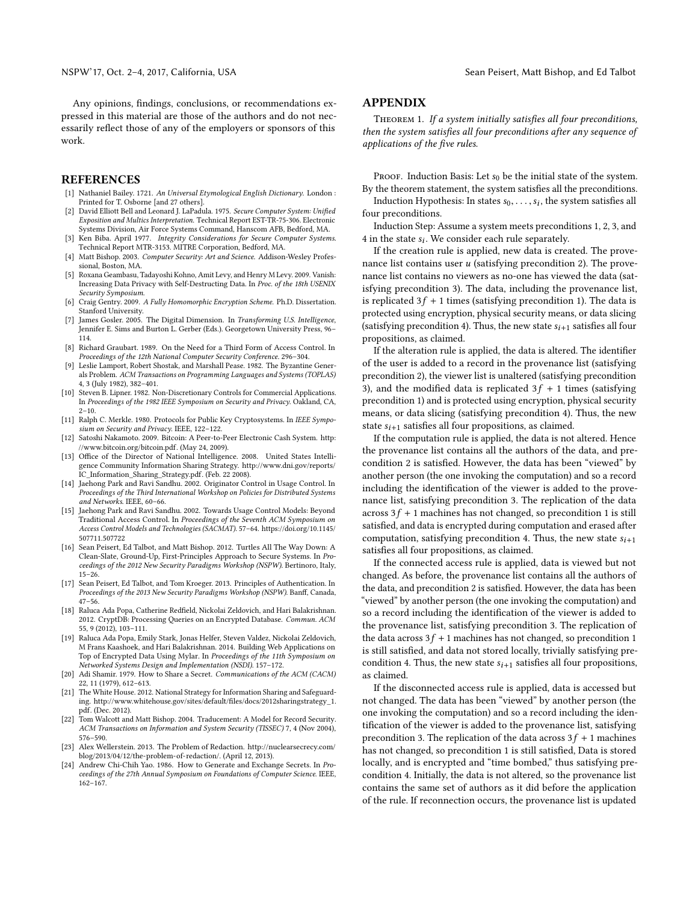Any opinions, findings, conclusions, or recommendations expressed in this material are those of the authors and do not necessarily reflect those of any of the employers or sponsors of this work.

#### REFERENCES

- <span id="page-9-20"></span>[1] Nathaniel Bailey. 1721. An Universal Etymological English Dictionary. London : Printed for T. Osborne [and 27 others].
- <span id="page-9-9"></span>[2] David Elliott Bell and Leonard J. LaPadula. 1975. Secure Computer System: Unified Exposition and Multics Interpretation. Technical Report EST-TR-75-306. Electronic Systems Division, Air Force Systems Command, Hanscom AFB, Bedford, MA.
- <span id="page-9-10"></span>[3] Ken Biba. April 1977. Integrity Considerations for Secure Computer Systems. Technical Report MTR-3153. MITRE Corporation, Bedford, MA.
- <span id="page-9-1"></span>[4] Matt Bishop. 2003. Computer Security: Art and Science. Addison-Wesley Professional, Boston, MA.
- <span id="page-9-17"></span>[5] Roxana Geambasu, Tadayoshi Kohno, Amit Levy, and Henry M Levy. 2009. Vanish: Increasing Data Privacy with Self-Destructing Data. In Proc. of the 18th USENIX Security Symposium.
- <span id="page-9-15"></span>[6] Craig Gentry. 2009. A Fully Homomorphic Encryption Scheme. Ph.D. Dissertation. Stanford University.
- <span id="page-9-2"></span>[7] James Gosler. 2005. The Digital Dimension. In Transforming U.S. Intelligence, Jennifer E. Sims and Burton L. Gerber (Eds.). Georgetown University Press, 96– 114.
- <span id="page-9-0"></span>[8] Richard Graubart. 1989. On the Need for a Third Form of Access Control. In Proceedings of the 12th National Computer Security Conference. 296–304.
- <span id="page-9-6"></span>[9] Leslie Lamport, Robert Shostak, and Marshall Pease. 1982. The Byzantine Generals Problem. ACM Transactions on Programming Languages and Systems (TOPLAS) 4, 3 (July 1982), 382–401.
- <span id="page-9-11"></span>[10] Steven B. Lipner. 1982. Non-Discretionary Controls for Commercial Applications. In Proceedings of the 1982 IEEE Symposium on Security and Privacy. Oakland, CA,  $2 - 10$
- <span id="page-9-22"></span>[11] Ralph C. Merkle. 1980. Protocols for Public Key Cryptosystems. In IEEE Symposium on Security and Privacy. IEEE, 122–122.
- <span id="page-9-23"></span>12] Satoshi Nakamoto. 2009. Bitcoin: A Peer-to-Peer Electronic Cash System. [http:](http://www.bitcoin.org/bitcoin.pdf) [//www.bitcoin.org/bitcoin.pdf.](http://www.bitcoin.org/bitcoin.pdf) (May 24, 2009).
- <span id="page-9-3"></span>[13] Office of the Director of National Intelligence. 2008. United States Intelligence Community Information Sharing Strategy. [http://www.dni.gov/reports/](http://www.dni.gov/reports/IC_Information_Sharing_Strategy.pdf) [IC\\_Information\\_Sharing\\_Strategy.pdf.](http://www.dni.gov/reports/IC_Information_Sharing_Strategy.pdf) (Feb. 22 2008).
- <span id="page-9-13"></span>[14] Jaehong Park and Ravi Sandhu. 2002. Originator Control in Usage Control. In Proceedings of the Third International Workshop on Policies for Distributed Systems and Networks. IEEE, 60–66.
- <span id="page-9-14"></span>[15] Jaehong Park and Ravi Sandhu. 2002. Towards Usage Control Models: Beyond Traditional Access Control. In Proceedings of the Seventh ACM Symposium on Access Control Models and Technologies (SACMAT). 57–64. [https://doi.org/10.1145/](https://doi.org/10.1145/507711.507722) [507711.507722](https://doi.org/10.1145/507711.507722)
- <span id="page-9-5"></span>[16] Sean Peisert, Ed Talbot, and Matt Bishop. 2012. Turtles All The Way Down: A Clean-Slate, Ground-Up, First-Principles Approach to Secure Systems. In Proceedings of the 2012 New Security Paradigms Workshop (NSPW). Bertinoro, Italy, 15–26.
- <span id="page-9-8"></span>[17] Sean Peisert, Ed Talbot, and Tom Kroeger. 2013. Principles of Authentication. In Proceedings of the 2013 New Security Paradigms Workshop (NSPW). Banff, Canada,  $47 - 56$ .
- <span id="page-9-16"></span>[18] Raluca Ada Popa, Catherine Redfield, Nickolai Zeldovich, and Hari Balakrishnan. 2012. CryptDB: Processing Queries on an Encrypted Database. Commun. ACM 55, 9 (2012), 103–111.
- <span id="page-9-18"></span>[19] Raluca Ada Popa, Emily Stark, Jonas Helfer, Steven Valdez, Nickolai Zeldovich, M Frans Kaashoek, and Hari Balakrishnan. 2014. Building Web Applications on Top of Encrypted Data Using Mylar. In Proceedings of the 11th Symposium on Networked Systems Design and Implementation (NSDI). 157–172.
- <span id="page-9-7"></span>[20] Adi Shamir. 1979. How to Share a Secret. Communications of the ACM (CACM) 22, 11 (1979), 612–613.
- <span id="page-9-4"></span>[21] The White House. 2012. National Strategy for Information Sharing and Safeguarding. [http://www.whitehouse.gov/sites/default/files/docs/2012sharingstrategy\\_1.](http://www.whitehouse.gov/sites/default/files/docs/2012sharingstrategy_1.pdf) [pdf.](http://www.whitehouse.gov/sites/default/files/docs/2012sharingstrategy_1.pdf) (Dec. 2012).
- <span id="page-9-12"></span>[22] Tom Walcott and Matt Bishop. 2004. Traducement: A Model for Record Security. ACM Transactions on Information and System Security (TISSEC) 7, 4 (Nov 2004), 576–590.
- <span id="page-9-21"></span>[23] Alex Wellerstein. 2013. The Problem of Redaction. [http://nuclearsecrecy.com/](http://nuclearsecrecy.com/blog/2013/04/12/the-problem-of-redaction/) [blog/2013/04/12/the-problem-of-redaction/.](http://nuclearsecrecy.com/blog/2013/04/12/the-problem-of-redaction/) (April 12, 2013).
- <span id="page-9-19"></span>[24] Andrew Chi-Chih Yao. 1986. How to Generate and Exchange Secrets. In Proceedings of the 27th Annual Symposium on Foundations of Computer Science. IEEE, 162–167.

#### APPENDIX

Theorem 1. If a system initially satisfies all four preconditions, then the system satisfies all four preconditions after any sequence of applications of the five rules.

PROOF. Induction Basis: Let  $s_0$  be the initial state of the system. By the theorem statement, the system satisfies all the preconditions.

Induction Hypothesis: In states  $s_0, \ldots, s_i$ , the system satisfies all  $\mathbf{u}$  preconditions four preconditions.

Induction Step: Assume a system meets preconditions 1, 2, 3, and  $4$  in the state  $s_i$ . We consider each rule separately.

If the creation rule is applied, new data is created. The provenance list contains user  $u$  (satisfying precondition 2). The provenance list contains no viewers as no-one has viewed the data (satisfying precondition 3). The data, including the provenance list, is replicated  $3f + 1$  times (satisfying precondition 1). The data is protected using encryption, physical security means, or data slicing (satisfying precondition 4). Thus, the new state  $s_{i+1}$  satisfies all four propositions, as claimed.

If the alteration rule is applied, the data is altered. The identifier of the user is added to a record in the provenance list (satisfying precondition 2), the viewer list is unaltered (satisfying precondition 3), and the modified data is replicated  $3f + 1$  times (satisfying precondition 1) and is protected using encryption, physical security means, or data slicing (satisfying precondition 4). Thus, the new state  $s_{i+1}$  satisfies all four propositions, as claimed.

If the computation rule is applied, the data is not altered. Hence the provenance list contains all the authors of the data, and precondition 2 is satisfied. However, the data has been "viewed" by another person (the one invoking the computation) and so a record including the identification of the viewer is added to the provenance list, satisfying precondition 3. The replication of the data across  $3f + 1$  machines has not changed, so precondition 1 is still satisfied, and data is encrypted during computation and erased after computation, satisfying precondition 4. Thus, the new state  $s_{i+1}$ satisfies all four propositions, as claimed.

If the connected access rule is applied, data is viewed but not changed. As before, the provenance list contains all the authors of the data, and precondition 2 is satisfied. However, the data has been "viewed" by another person (the one invoking the computation) and so a record including the identification of the viewer is added to the provenance list, satisfying precondition 3. The replication of the data across  $3f + 1$  machines has not changed, so precondition 1 is still satisfied, and data not stored locally, trivially satisfying precondition 4. Thus, the new state  $s_{i+1}$  satisfies all four propositions, as claimed.

If the disconnected access rule is applied, data is accessed but not changed. The data has been "viewed" by another person (the one invoking the computation) and so a record including the identification of the viewer is added to the provenance list, satisfying precondition 3. The replication of the data across  $3f + 1$  machines has not changed, so precondition 1 is still satisfied, Data is stored locally, and is encrypted and "time bombed," thus satisfying precondition 4. Initially, the data is not altered, so the provenance list contains the same set of authors as it did before the application of the rule. If reconnection occurs, the provenance list is updated